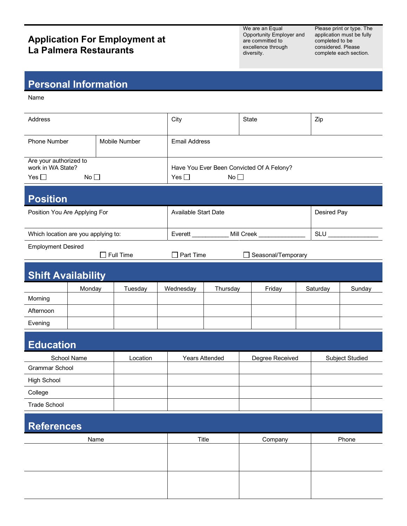## **Application For Employment at La Palmera Restaurants**

We are an Equal Opportunity Employer and are committed to excellence through diversity.

Please print or type. The application must be fully completed to be considered. Please complete each section.

## **Personal Information**

Name

| Address                                                            |             |  |                      | City                                                                          |                             |         | State           |       | Zip                   |             |  |
|--------------------------------------------------------------------|-------------|--|----------------------|-------------------------------------------------------------------------------|-----------------------------|---------|-----------------|-------|-----------------------|-------------|--|
| <b>Phone Number</b><br>Mobile Number                               |             |  | <b>Email Address</b> |                                                                               |                             |         |                 |       |                       |             |  |
| Are your authorized to<br>work in WA State?<br>Yes $\square$<br>No |             |  |                      | Have You Ever Been Convicted Of A Felony?<br>No <sub>1</sub><br>Yes $\square$ |                             |         |                 |       |                       |             |  |
| <b>Position</b>                                                    |             |  |                      |                                                                               |                             |         |                 |       |                       |             |  |
| Position You Are Applying For                                      |             |  |                      |                                                                               | <b>Available Start Date</b> |         |                 |       |                       | Desired Pay |  |
| Which location are you applying to:                                |             |  |                      |                                                                               | Mill Creek<br>Everett       |         |                 |       | $SLU$ <sub>____</sub> |             |  |
| <b>Employment Desired</b><br>Full Time                             |             |  |                      | Part Time<br>Seasonal/Temporary<br>$\mathbf{I}$                               |                             |         |                 |       |                       |             |  |
| <b>Shift Availability</b>                                          |             |  |                      |                                                                               |                             |         |                 |       |                       |             |  |
|                                                                    | Monday      |  | Tuesday              |                                                                               | Wednesday<br>Thursday       |         | Friday          |       | Saturday<br>Sunday    |             |  |
| Morning                                                            |             |  |                      |                                                                               |                             |         |                 |       |                       |             |  |
| Afternoon                                                          |             |  |                      |                                                                               |                             |         |                 |       |                       |             |  |
| Evening                                                            |             |  |                      |                                                                               |                             |         |                 |       |                       |             |  |
| <b>Education</b>                                                   |             |  |                      |                                                                               |                             |         |                 |       |                       |             |  |
|                                                                    | School Name |  | Location             |                                                                               | <b>Years Attended</b>       |         | Degree Received |       | Subject Studied       |             |  |
| Grammar School                                                     |             |  |                      |                                                                               |                             |         |                 |       |                       |             |  |
| <b>High School</b>                                                 |             |  |                      |                                                                               |                             |         |                 |       |                       |             |  |
| College                                                            |             |  |                      |                                                                               |                             |         |                 |       |                       |             |  |
| Trade School                                                       |             |  |                      |                                                                               |                             |         |                 |       |                       |             |  |
| <b>References</b>                                                  |             |  |                      |                                                                               |                             |         |                 |       |                       |             |  |
| Name                                                               |             |  |                      | Title                                                                         |                             | Company |                 | Phone |                       |             |  |
|                                                                    |             |  |                      |                                                                               |                             |         |                 |       |                       |             |  |
|                                                                    |             |  |                      |                                                                               |                             |         |                 |       |                       |             |  |
|                                                                    |             |  |                      |                                                                               |                             |         |                 |       |                       |             |  |
|                                                                    |             |  |                      |                                                                               |                             |         |                 |       |                       |             |  |